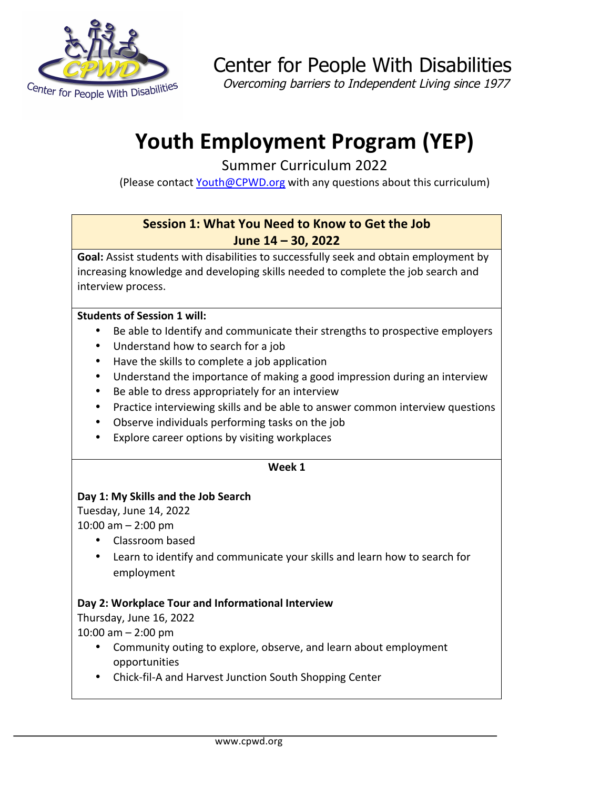

Center for People With Disabilities

Overcoming barriers to Independent Living since 1977

# **Youth Employment Program (YEP)**

Summer Curriculum 2022

(Please contact Youth@CPWD.org with any questions about this curriculum)

# **Session 1: What You Need to Know to Get the Job June 14 – 30, 2022**

Goal: Assist students with disabilities to successfully seek and obtain employment by increasing knowledge and developing skills needed to complete the job search and interview process.

#### **Students of Session 1 will:**

- Be able to Identify and communicate their strengths to prospective employers
- Understand how to search for a job
- Have the skills to complete a job application
- Understand the importance of making a good impression during an interview
- Be able to dress appropriately for an interview
- Practice interviewing skills and be able to answer common interview questions
- Observe individuals performing tasks on the job
- Explore career options by visiting workplaces

#### **Week 1**

# Day 1: My Skills and the Job Search

Tuesday, June 14, 2022

 $10:00$  am  $- 2:00$  pm

- Classroom based
- Learn to identify and communicate your skills and learn how to search for employment

# Day 2: Workplace Tour and Informational Interview

Thursday, June 16, 2022

 $10:00$  am  $- 2:00$  pm

- Community outing to explore, observe, and learn about employment opportunities
- Chick-fil-A and Harvest Junction South Shopping Center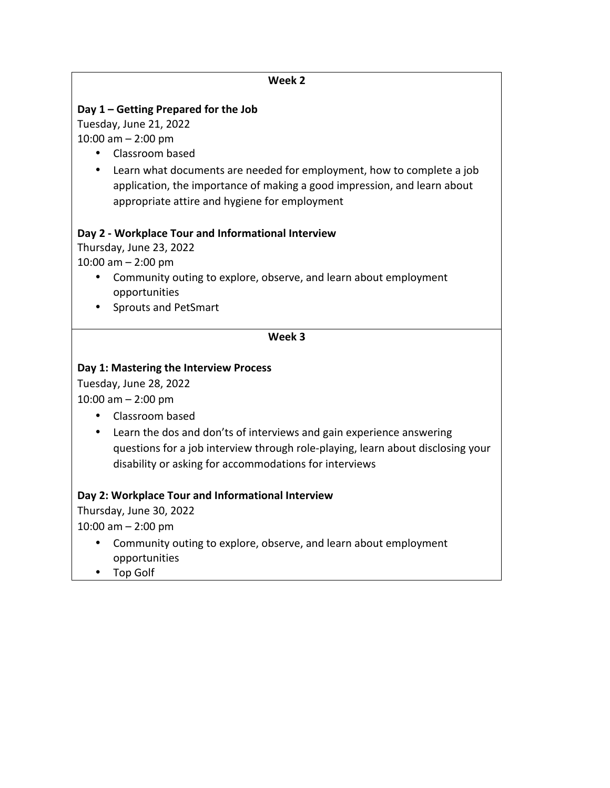# **Week 2** Day 1 – Getting Prepared for the Job Tuesday, June 21, 2022  $10:00$  am  $- 2:00$  pm • Classroom based • Learn what documents are needed for employment, how to complete a job application, the importance of making a good impression, and learn about appropriate attire and hygiene for employment Day 2 - Workplace Tour and Informational Interview Thursday, June 23, 2022  $10:00$  am  $- 2:00$  pm Community outing to explore, observe, and learn about employment opportunities • Sprouts and PetSmart **Week 3** Day 1: Mastering the Interview Process Tuesday, June 28, 2022  $10:00$  am  $- 2:00$  pm • Classroom based • Learn the dos and don'ts of interviews and gain experience answering questions for a job interview through role-playing, learn about disclosing your disability or asking for accommodations for interviews Day 2: Workplace Tour and Informational Interview Thursday, June 30, 2022  $10:00$  am  $- 2:00$  pm

- Community outing to explore, observe, and learn about employment opportunities
- Top Golf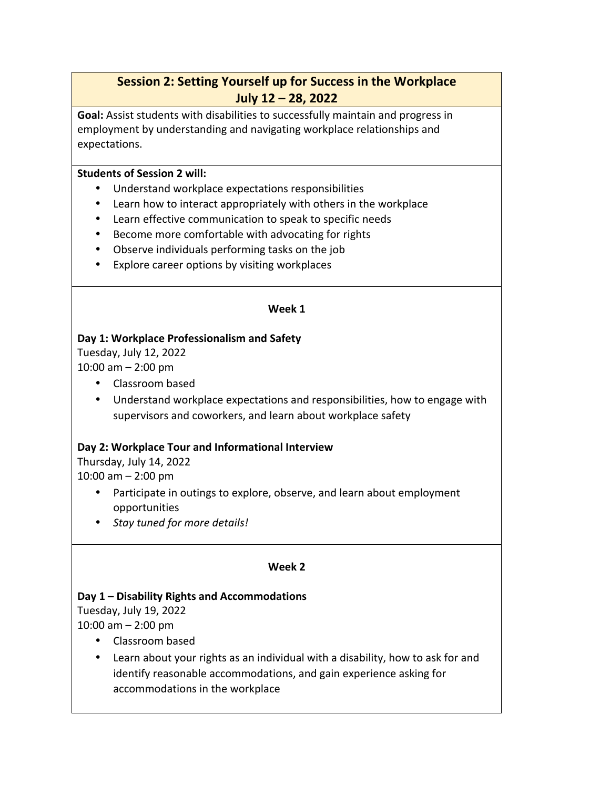# **Session 2: Setting Yourself up for Success in the Workplace July 12 – 28, 2022**

**Goal:** Assist students with disabilities to successfully maintain and progress in employment by understanding and navigating workplace relationships and expectations. 

#### **Students of Session 2 will:**

- Understand workplace expectations responsibilities
- Learn how to interact appropriately with others in the workplace
- Learn effective communication to speak to specific needs
- Become more comfortable with advocating for rights
- Observe individuals performing tasks on the job
- Explore career options by visiting workplaces

#### **Week 1**

# Day 1: Workplace Professionalism and Safety

Tuesday, July 12, 2022  $10:00$  am  $- 2:00$  pm

- Classroom based
- Understand workplace expectations and responsibilities, how to engage with supervisors and coworkers, and learn about workplace safety

# Day 2: Workplace Tour and Informational Interview

Thursday, July 14, 2022  $10:00$  am  $- 2:00$  pm

- Participate in outings to explore, observe, and learn about employment opportunities
- *Stay tuned for more details!*

#### **Week 2**

# Day 1 – Disability Rights and Accommodations

Tuesday, July 19, 2022  $10:00$  am  $- 2:00$  pm

- Classroom based
- Learn about your rights as an individual with a disability, how to ask for and identify reasonable accommodations, and gain experience asking for accommodations in the workplace